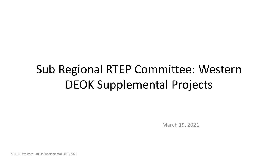# Sub Regional RTEP Committee: Western DEOK Supplemental Projects

March 19, 2021

SRRTEP-Western – DEOK Supplemental 3/19/2021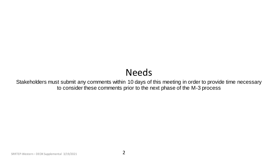## Needs

Stakeholders must submit any comments within 10 days of this meeting in order to provide time necessary to consider these comments prior to the next phase of the M-3 process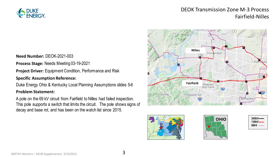

## DEOK Transmission Zone M-3 Process Fairfield-Nilles

**Need Number:** DEOK-2021-003

**Process Stage:** Needs Meeting 03-19-2021

**Project Driver:** Equipment Condition, Performance and Risk

#### **Specific Assumption Reference:**

Duke Energy Ohio & Kentucky Local Planning Assumptions slides 5-6

#### **Problem Statement:**

A pole on the 69 kV circuit from Fairfield to Nilles had failed inspection. This pole supports a switch that limits the circuit. The pole shows signs of decay and base rot, and has been on the watch list since 2015.







| 345kV—<br>138kV—<br>69kV |
|--------------------------|
|--------------------------|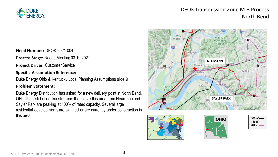

## DEOK Transmission Zone M-3 Process North Bend

**Need Number:** DEOK-2021-004

**Process Stage:** Needs Meeting 03-19-2021

**Project Driver:** Customer Service

#### **Specific Assumption Reference:**

Duke Energy Ohio & Kentucky Local Planning Assumptions slide 9

#### **Problem Statement:**

Duke Energy Distribution has asked for a new delivery point in North Bend, OH. The distribution transformers that serve this area from Neumann and Sayler Park are peaking at 100% of rated capacity. Several large residential developments are planned or are currently under construction in this area.







| 345kV—<br>138kV– |
|------------------|
| 69kV             |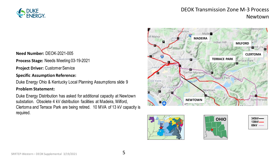

## DEOK Transmission Zone M-3 Process Newtown

**Need Number:** DEOK-2021-005

**Process Stage:** Needs Meeting 03-19-2021

**Project Driver:** Customer Service

#### **Specific Assumption Reference:**

Duke Energy Ohio & Kentucky Local Planning Assumptions slide 9

#### **Problem Statement:**

Duke Energy Distribution has asked for additional capacity at Newtown substation. Obsolete 4 kV distribution facilities at Madeira, Milford, Clertoma and Terrace Park are being retired. 10 MVA of 13 kV capacity is required.







| $345kV$ ——<br>138kV— |
|----------------------|
| 69kV                 |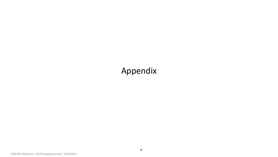## Appendix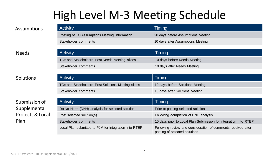# High Level M-3 Meeting Schedule

| <b>Activity</b>                               | Timing                             |
|-----------------------------------------------|------------------------------------|
| Posting of TO Assumptions Meeting information | 20 days before Assumptions Meeting |
| Stakeholder comments                          | 10 days after Assumptions Meeting  |

### Needs

### Solutions

### Submission of Supplemental Projects & Local Plan

| <b>Activity</b>                                | Timing                       |
|------------------------------------------------|------------------------------|
| TOs and Stakeholders Post Needs Meeting slides | 10 days before Needs Meeting |
| Stakeholder comments                           | 10 days after Needs Meeting  |
|                                                |                              |

| <b>Activity</b>                                    | Timing                           |
|----------------------------------------------------|----------------------------------|
| TOs and Stakeholders Post Solutions Meeting slides | 10 days before Solutions Meeting |
| Stakeholder comments                               | 10 days after Solutions Meeting  |

| <b>Activity</b>                                       | Timing                                                                                         |
|-------------------------------------------------------|------------------------------------------------------------------------------------------------|
| Do No Harm (DNH) analysis for selected solution       | Prior to posting selected solution                                                             |
| Post selected solution(s)                             | Following completion of DNH analysis                                                           |
| Stakeholder comments                                  | 10 days prior to Local Plan Submission for integration into RTEP                               |
| Local Plan submitted to PJM for integration into RTEP | Following review and consideration of comments received after<br>posting of selected solutions |